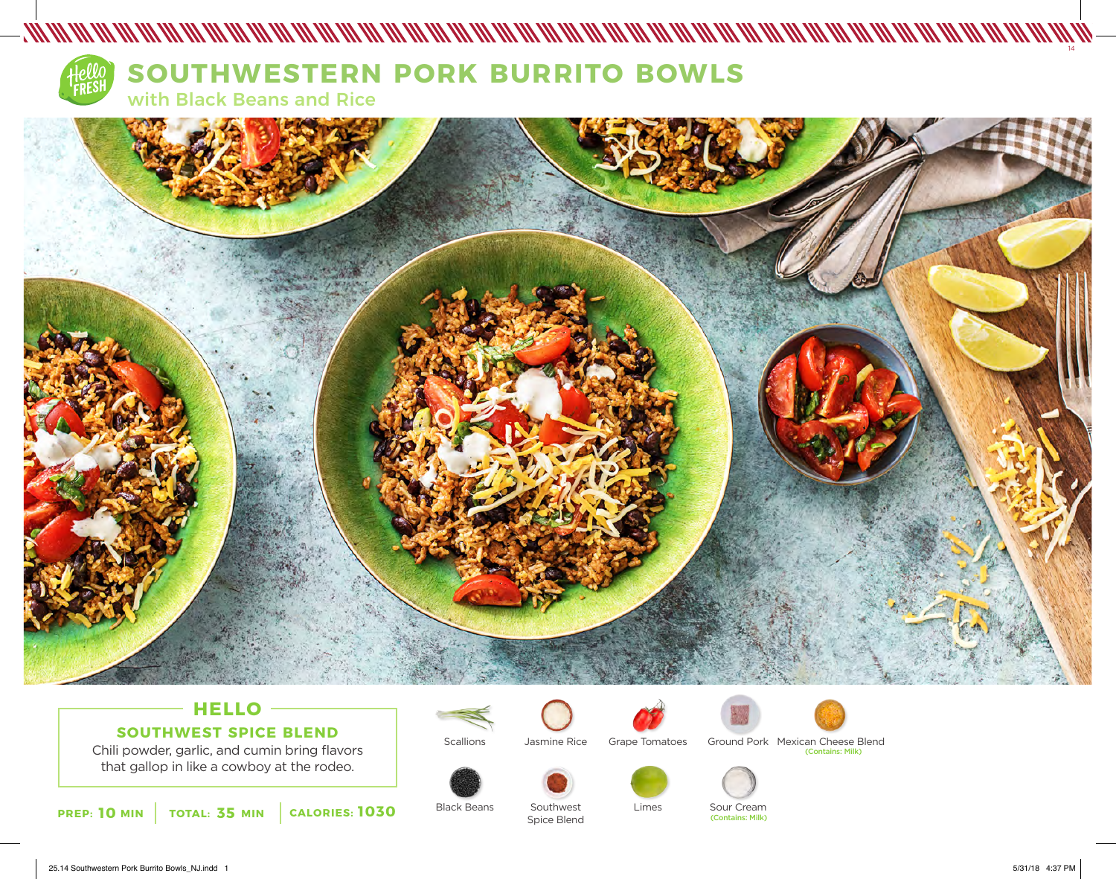

# **SOUTHWESTERN PORK BURRITO BOWLS**

with Black Beans and Rice



## **HELLO SOUTHWEST SPICE BLEND**

Chili powder, garlic, and cumin bring flavors that gallop in like a cowboy at the rodeo.



Black Beans

**Scallions** 





Limes



Southwest Spice Blend



Sour Cream<br>(Contains: Milk)



Grape Tomatoes Ground Pork Mexican Cheese Blend (Contains: Milk)